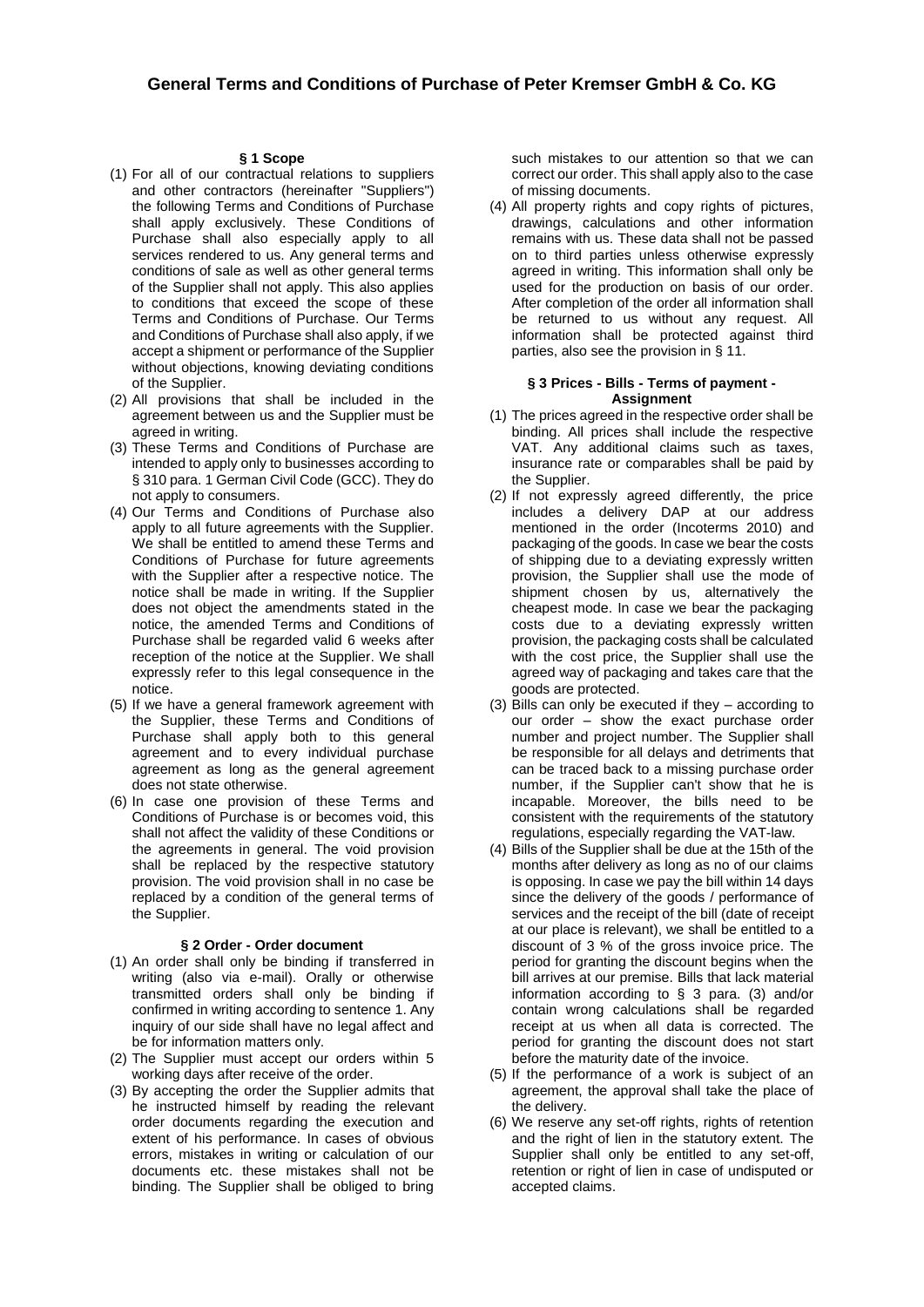## **§ 1 Scope**

- (1) For all of our contractual relations to suppliers and other contractors (hereinafter "Suppliers") the following Terms and Conditions of Purchase shall apply exclusively. These Conditions of Purchase shall also especially apply to all services rendered to us. Any general terms and conditions of sale as well as other general terms of the Supplier shall not apply. This also applies to conditions that exceed the scope of these Terms and Conditions of Purchase. Our Terms and Conditions of Purchase shall also apply, if we accept a shipment or performance of the Supplier without objections, knowing deviating conditions of the Supplier.
- (2) All provisions that shall be included in the agreement between us and the Supplier must be agreed in writing.
- (3) These Terms and Conditions of Purchase are intended to apply only to businesses according to § 310 para. 1 German Civil Code (GCC). They do not apply to consumers.
- (4) Our Terms and Conditions of Purchase also apply to all future agreements with the Supplier. We shall be entitled to amend these Terms and Conditions of Purchase for future agreements with the Supplier after a respective notice. The notice shall be made in writing. If the Supplier does not object the amendments stated in the notice, the amended Terms and Conditions of Purchase shall be regarded valid 6 weeks after reception of the notice at the Supplier. We shall expressly refer to this legal consequence in the notice.
- (5) If we have a general framework agreement with the Supplier, these Terms and Conditions of Purchase shall apply both to this general agreement and to every individual purchase agreement as long as the general agreement does not state otherwise.
- (6) In case one provision of these Terms and Conditions of Purchase is or becomes void, this shall not affect the validity of these Conditions or the agreements in general. The void provision shall be replaced by the respective statutory provision. The void provision shall in no case be replaced by a condition of the general terms of the Supplier.

### **§ 2 Order - Order document**

- (1) An order shall only be binding if transferred in writing (also via e-mail). Orally or otherwise transmitted orders shall only be binding if confirmed in writing according to sentence 1. Any inquiry of our side shall have no legal affect and be for information matters only.
- (2) The Supplier must accept our orders within 5 working days after receive of the order.
- (3) By accepting the order the Supplier admits that he instructed himself by reading the relevant order documents regarding the execution and extent of his performance. In cases of obvious errors, mistakes in writing or calculation of our documents etc. these mistakes shall not be binding. The Supplier shall be obliged to bring

such mistakes to our attention so that we can correct our order. This shall apply also to the case of missing documents.

(4) All property rights and copy rights of pictures, drawings, calculations and other information remains with us. These data shall not be passed on to third parties unless otherwise expressly agreed in writing. This information shall only be used for the production on basis of our order. After completion of the order all information shall be returned to us without any request. All information shall be protected against third parties, also see the provision in § 11.

### **§ 3 Prices - Bills - Terms of payment - Assignment**

- (1) The prices agreed in the respective order shall be binding. All prices shall include the respective VAT. Any additional claims such as taxes, insurance rate or comparables shall be paid by the Supplier.
- (2) If not expressly agreed differently, the price includes a delivery DAP at our address mentioned in the order (Incoterms 2010) and packaging of the goods. In case we bear the costs of shipping due to a deviating expressly written provision, the Supplier shall use the mode of shipment chosen by us, alternatively the cheapest mode. In case we bear the packaging costs due to a deviating expressly written provision, the packaging costs shall be calculated with the cost price, the Supplier shall use the agreed way of packaging and takes care that the goods are protected.
- (3) Bills can only be executed if they according to our order – show the exact purchase order number and project number. The Supplier shall be responsible for all delays and detriments that can be traced back to a missing purchase order number, if the Supplier can't show that he is incapable. Moreover, the bills need to be consistent with the requirements of the statutory regulations, especially regarding the VAT-law.
- (4) Bills of the Supplier shall be due at the 15th of the months after delivery as long as no of our claims is opposing. In case we pay the bill within 14 days since the delivery of the goods / performance of services and the receipt of the bill (date of receipt at our place is relevant), we shall be entitled to a discount of 3 % of the gross invoice price. The period for granting the discount begins when the bill arrives at our premise. Bills that lack material information according to § 3 para. (3) and/or contain wrong calculations shall be regarded receipt at us when all data is corrected. The period for granting the discount does not start before the maturity date of the invoice.
- (5) If the performance of a work is subject of an agreement, the approval shall take the place of the delivery.
- (6) We reserve any set-off rights, rights of retention and the right of lien in the statutory extent. The Supplier shall only be entitled to any set-off, retention or right of lien in case of undisputed or accepted claims.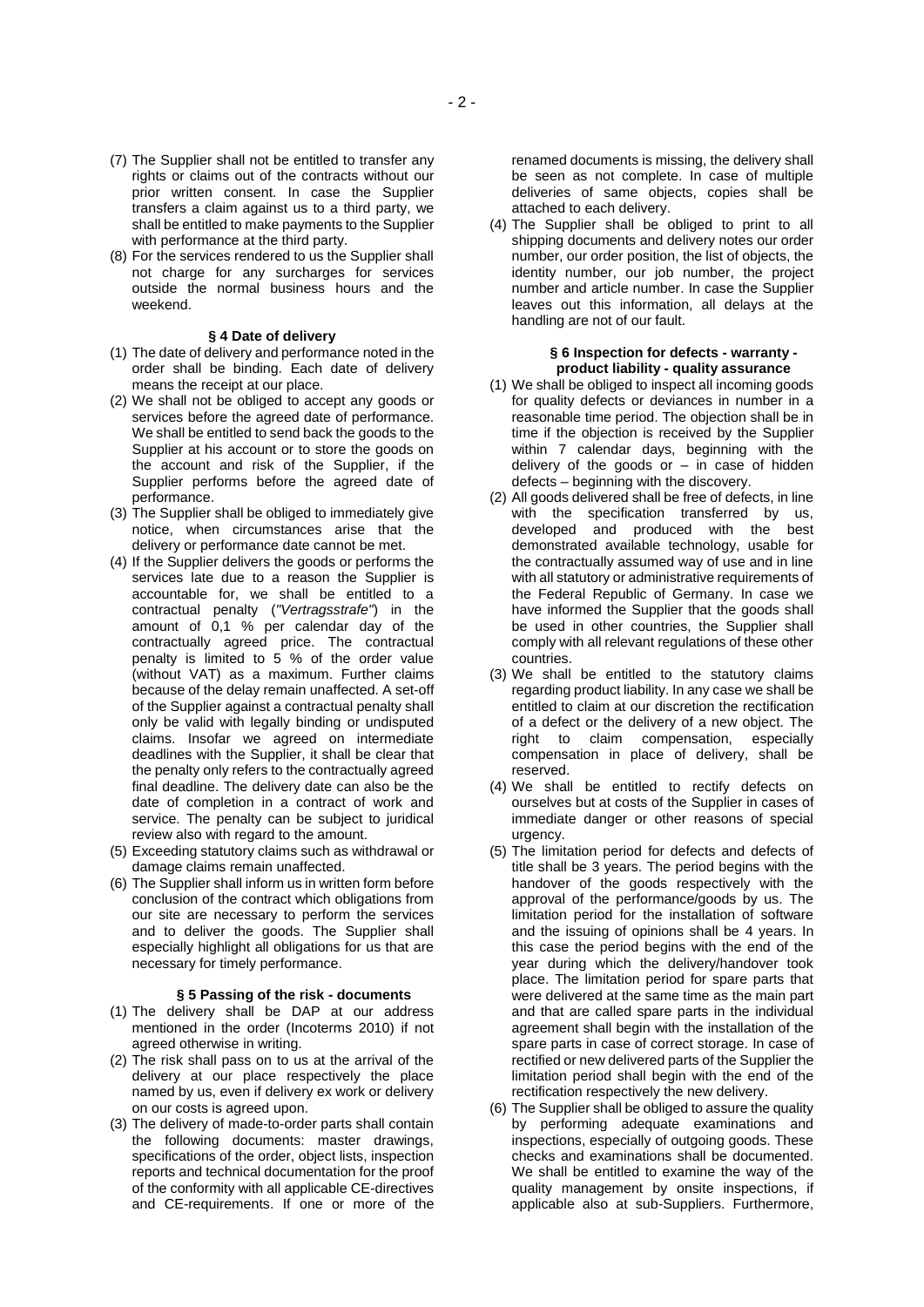- (7) The Supplier shall not be entitled to transfer any rights or claims out of the contracts without our prior written consent. In case the Supplier transfers a claim against us to a third party, we shall be entitled to make payments to the Supplier with performance at the third party.
- (8) For the services rendered to us the Supplier shall not charge for any surcharges for services outside the normal business hours and the weekend.

### **§ 4 Date of delivery**

- (1) The date of delivery and performance noted in the order shall be binding. Each date of delivery means the receipt at our place.
- (2) We shall not be obliged to accept any goods or services before the agreed date of performance. We shall be entitled to send back the goods to the Supplier at his account or to store the goods on the account and risk of the Supplier, if the Supplier performs before the agreed date of performance.
- (3) The Supplier shall be obliged to immediately give notice, when circumstances arise that the delivery or performance date cannot be met.
- (4) If the Supplier delivers the goods or performs the services late due to a reason the Supplier is accountable for, we shall be entitled to a contractual penalty (*"Vertragsstrafe"*) in the amount of 0,1 % per calendar day of the contractually agreed price. The contractual penalty is limited to 5 % of the order value (without VAT) as a maximum. Further claims because of the delay remain unaffected. A set-off of the Supplier against a contractual penalty shall only be valid with legally binding or undisputed claims. Insofar we agreed on intermediate deadlines with the Supplier, it shall be clear that the penalty only refers to the contractually agreed final deadline. The delivery date can also be the date of completion in a contract of work and service. The penalty can be subject to juridical review also with regard to the amount.
- (5) Exceeding statutory claims such as withdrawal or damage claims remain unaffected.
- (6) The Supplier shall inform us in written form before conclusion of the contract which obligations from our site are necessary to perform the services and to deliver the goods. The Supplier shall especially highlight all obligations for us that are necessary for timely performance.

#### **§ 5 Passing of the risk - documents**

- (1) The delivery shall be DAP at our address mentioned in the order (Incoterms 2010) if not agreed otherwise in writing.
- (2) The risk shall pass on to us at the arrival of the delivery at our place respectively the place named by us, even if delivery ex work or delivery on our costs is agreed upon.
- (3) The delivery of made-to-order parts shall contain the following documents: master drawings, specifications of the order, object lists, inspection reports and technical documentation for the proof of the conformity with all applicable CE-directives and CE-requirements. If one or more of the

renamed documents is missing, the delivery shall be seen as not complete. In case of multiple deliveries of same objects, copies shall be attached to each delivery.

(4) The Supplier shall be obliged to print to all shipping documents and delivery notes our order number, our order position, the list of objects, the identity number, our job number, the project number and article number. In case the Supplier leaves out this information, all delays at the handling are not of our fault.

#### **§ 6 Inspection for defects - warranty product liability - quality assurance**

- (1) We shall be obliged to inspect all incoming goods for quality defects or deviances in number in a reasonable time period. The objection shall be in time if the objection is received by the Supplier within 7 calendar days, beginning with the delivery of the goods or  $-$  in case of hidden defects – beginning with the discovery.
- (2) All goods delivered shall be free of defects, in line with the specification transferred by us, developed and produced with the best demonstrated available technology, usable for the contractually assumed way of use and in line with all statutory or administrative requirements of the Federal Republic of Germany. In case we have informed the Supplier that the goods shall be used in other countries, the Supplier shall comply with all relevant regulations of these other countries.
- (3) We shall be entitled to the statutory claims regarding product liability. In any case we shall be entitled to claim at our discretion the rectification of a defect or the delivery of a new object. The right to claim compensation, especially compensation in place of delivery, shall be reserved.
- (4) We shall be entitled to rectify defects on ourselves but at costs of the Supplier in cases of immediate danger or other reasons of special urgency.
- (5) The limitation period for defects and defects of title shall be 3 years. The period begins with the handover of the goods respectively with the approval of the performance/goods by us. The limitation period for the installation of software and the issuing of opinions shall be 4 years. In this case the period begins with the end of the year during which the delivery/handover took place. The limitation period for spare parts that were delivered at the same time as the main part and that are called spare parts in the individual agreement shall begin with the installation of the spare parts in case of correct storage. In case of rectified or new delivered parts of the Supplier the limitation period shall begin with the end of the rectification respectively the new delivery.
- (6) The Supplier shall be obliged to assure the quality by performing adequate examinations and inspections, especially of outgoing goods. These checks and examinations shall be documented. We shall be entitled to examine the way of the quality management by onsite inspections, if applicable also at sub-Suppliers. Furthermore,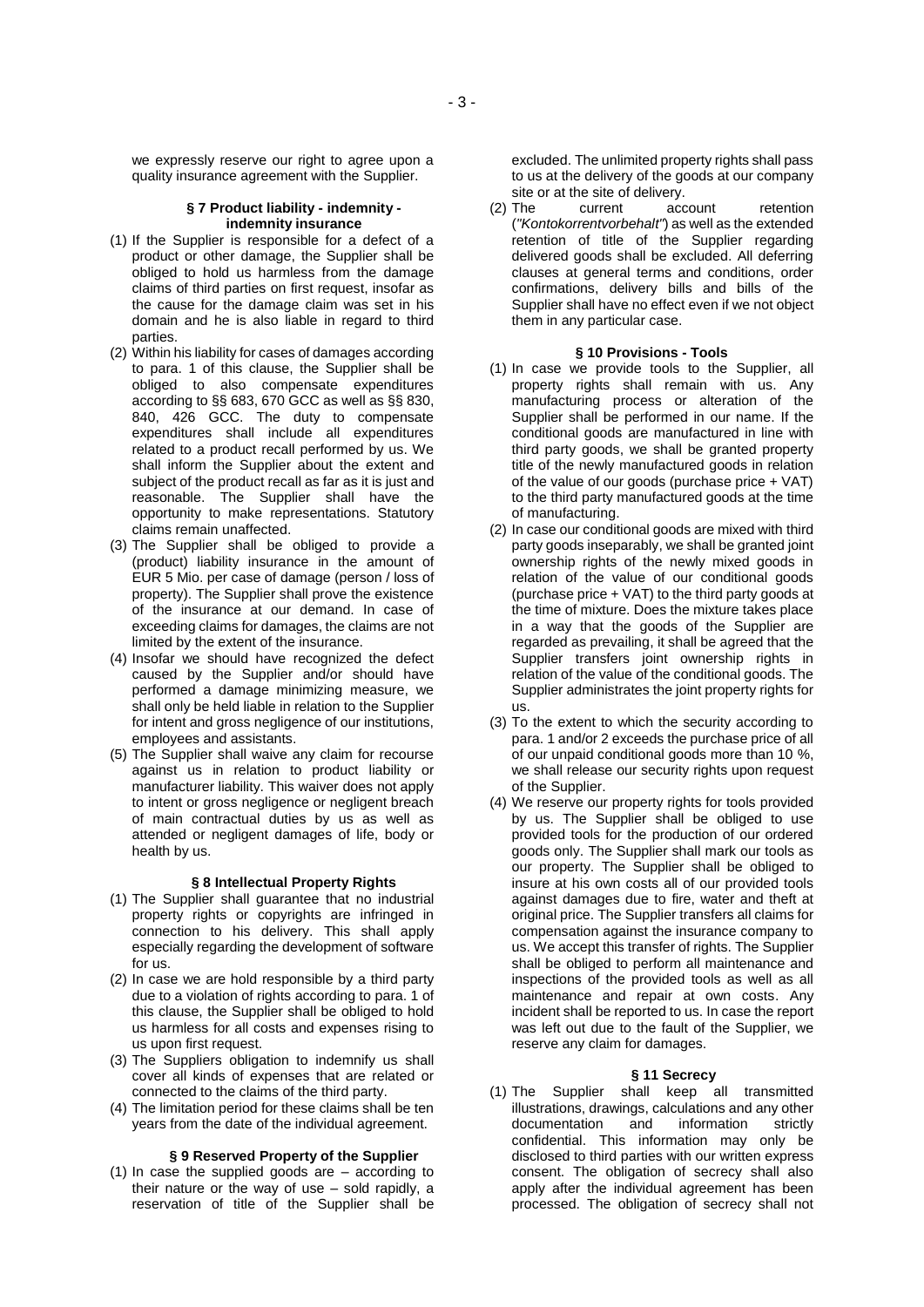we expressly reserve our right to agree upon a quality insurance agreement with the Supplier.

## **§ 7 Product liability - indemnity indemnity insurance**

- (1) If the Supplier is responsible for a defect of a product or other damage, the Supplier shall be obliged to hold us harmless from the damage claims of third parties on first request, insofar as the cause for the damage claim was set in his domain and he is also liable in regard to third parties.
- (2) Within his liability for cases of damages according to para. 1 of this clause, the Supplier shall be obliged to also compensate expenditures according to §§ 683, 670 GCC as well as §§ 830, 840, 426 GCC. The duty to compensate expenditures shall include all expenditures related to a product recall performed by us. We shall inform the Supplier about the extent and subject of the product recall as far as it is just and reasonable. The Supplier shall have the opportunity to make representations. Statutory claims remain unaffected.
- (3) The Supplier shall be obliged to provide a (product) liability insurance in the amount of EUR 5 Mio. per case of damage (person / loss of property). The Supplier shall prove the existence of the insurance at our demand. In case of exceeding claims for damages, the claims are not limited by the extent of the insurance.
- (4) Insofar we should have recognized the defect caused by the Supplier and/or should have performed a damage minimizing measure, we shall only be held liable in relation to the Supplier for intent and gross negligence of our institutions, employees and assistants.
- (5) The Supplier shall waive any claim for recourse against us in relation to product liability or manufacturer liability. This waiver does not apply to intent or gross negligence or negligent breach of main contractual duties by us as well as attended or negligent damages of life, body or health by us.

### **§ 8 Intellectual Property Rights**

- (1) The Supplier shall guarantee that no industrial property rights or copyrights are infringed in connection to his delivery. This shall apply especially regarding the development of software for us.
- (2) In case we are hold responsible by a third party due to a violation of rights according to para. 1 of this clause, the Supplier shall be obliged to hold us harmless for all costs and expenses rising to us upon first request.
- (3) The Suppliers obligation to indemnify us shall cover all kinds of expenses that are related or connected to the claims of the third party.
- (4) The limitation period for these claims shall be ten years from the date of the individual agreement.

## **§ 9 Reserved Property of the Supplier**

(1) In case the supplied goods are – according to their nature or the way of use – sold rapidly, a reservation of title of the Supplier shall be excluded. The unlimited property rights shall pass to us at the delivery of the goods at our company site or at the site of delivery.

(2) The current account retention (*"Kontokorrentvorbehalt"*) as well as the extended retention of title of the Supplier regarding delivered goods shall be excluded. All deferring clauses at general terms and conditions, order confirmations, delivery bills and bills of the Supplier shall have no effect even if we not object them in any particular case.

## **§ 10 Provisions - Tools**

- (1) In case we provide tools to the Supplier, all property rights shall remain with us. Any manufacturing process or alteration of the Supplier shall be performed in our name. If the conditional goods are manufactured in line with third party goods, we shall be granted property title of the newly manufactured goods in relation of the value of our goods (purchase price + VAT) to the third party manufactured goods at the time of manufacturing.
- (2) In case our conditional goods are mixed with third party goods inseparably, we shall be granted joint ownership rights of the newly mixed goods in relation of the value of our conditional goods (purchase price + VAT) to the third party goods at the time of mixture. Does the mixture takes place in a way that the goods of the Supplier are regarded as prevailing, it shall be agreed that the Supplier transfers joint ownership rights in relation of the value of the conditional goods. The Supplier administrates the joint property rights for us.
- (3) To the extent to which the security according to para. 1 and/or 2 exceeds the purchase price of all of our unpaid conditional goods more than 10 %, we shall release our security rights upon request of the Supplier.
- (4) We reserve our property rights for tools provided by us. The Supplier shall be obliged to use provided tools for the production of our ordered goods only. The Supplier shall mark our tools as our property. The Supplier shall be obliged to insure at his own costs all of our provided tools against damages due to fire, water and theft at original price. The Supplier transfers all claims for compensation against the insurance company to us. We accept this transfer of rights. The Supplier shall be obliged to perform all maintenance and inspections of the provided tools as well as all maintenance and repair at own costs. Any incident shall be reported to us. In case the report was left out due to the fault of the Supplier, we reserve any claim for damages.

## **§ 11 Secrecy**

(1) The Supplier shall keep all transmitted illustrations, drawings, calculations and any other documentation and information strictly confidential. This information may only be disclosed to third parties with our written express consent. The obligation of secrecy shall also apply after the individual agreement has been processed. The obligation of secrecy shall not